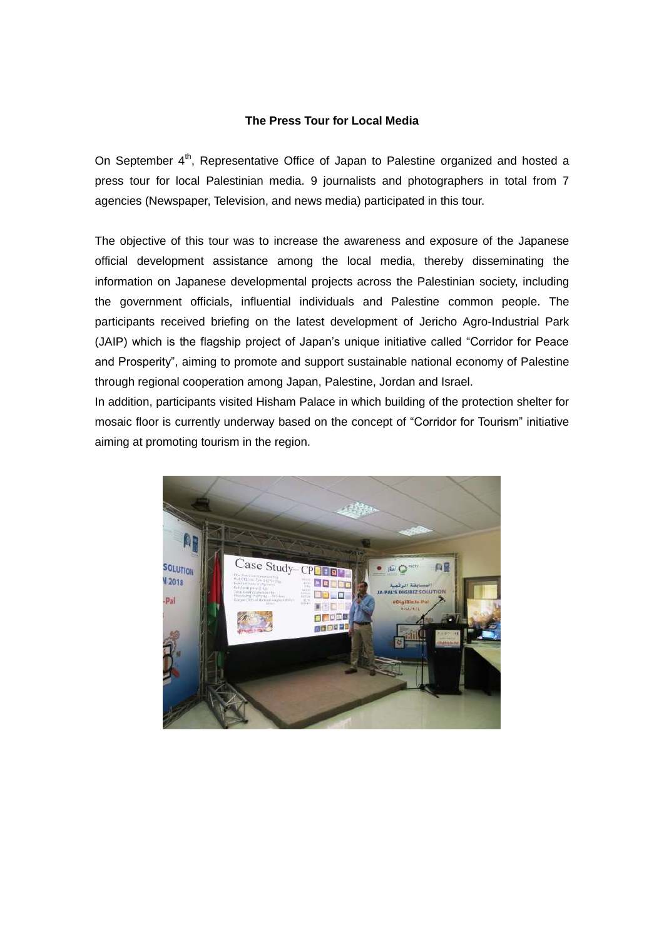# **The Press Tour for Local Media**

On September 4<sup>th</sup>, Representative Office of Japan to Palestine organized and hosted a press tour for local Palestinian media. 9 journalists and photographers in total from 7 agencies (Newspaper, Television, and news media) participated in this tour.

The objective of this tour was to increase the awareness and exposure of the Japanese official development assistance among the local media, thereby disseminating the information on Japanese developmental projects across the Palestinian society, including the government officials, influential individuals and Palestine common people. The participants received briefing on the latest development of Jericho Agro-Industrial Park (JAIP) which is the flagship project of Japan's unique initiative called "Corridor for Peace and Prosperity", aiming to promote and support sustainable national economy of Palestine through regional cooperation among Japan, Palestine, Jordan and Israel.

In addition, participants visited Hisham Palace in which building of the protection shelter for mosaic floor is currently underway based on the concept of "Corridor for Tourism" initiative aiming at promoting tourism in the region.

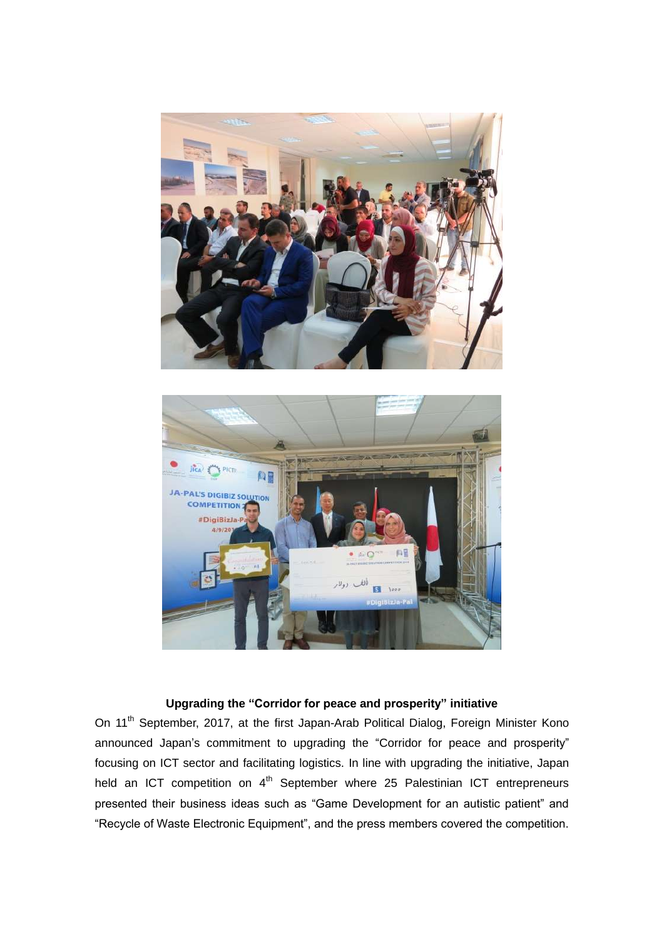



# **Upgrading the "Corridor for peace and prosperity" initiative**

On 11<sup>th</sup> September, 2017, at the first Japan-Arab Political Dialog, Foreign Minister Kono announced Japan's commitment to upgrading the "Corridor for peace and prosperity" focusing on ICT sector and facilitating logistics. In line with upgrading the initiative, Japan held an ICT competition on 4<sup>th</sup> September where 25 Palestinian ICT entrepreneurs presented their business ideas such as "Game Development for an autistic patient" and "Recycle of Waste Electronic Equipment", and the press members covered the competition.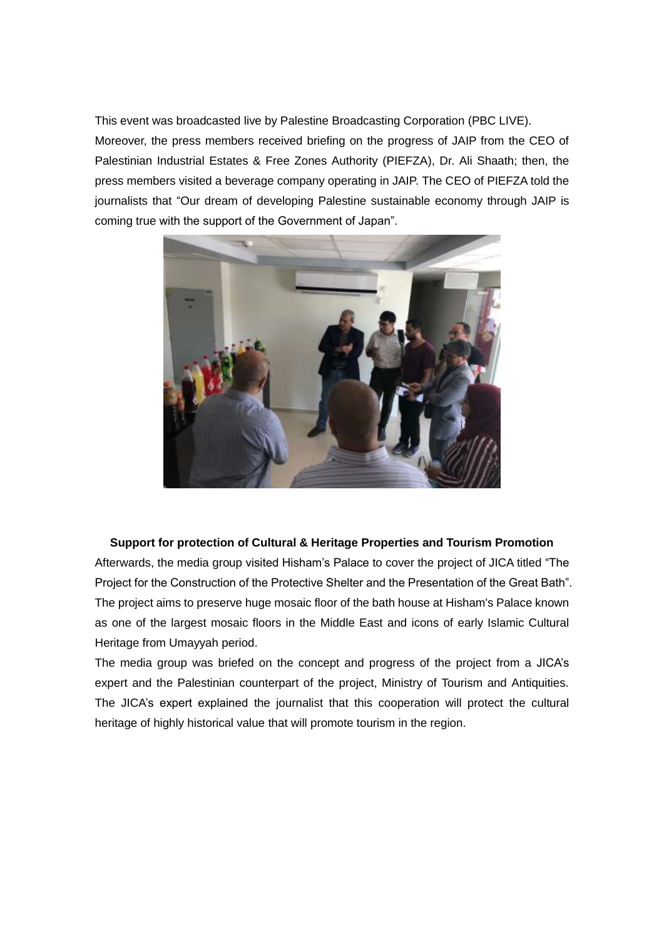This event was broadcasted live by Palestine Broadcasting Corporation (PBC LIVE). Moreover, the press members received briefing on the progress of JAIP from the CEO of Palestinian Industrial Estates & Free Zones Authority (PIEFZA), Dr. Ali Shaath; then, the press members visited a beverage company operating in JAIP. The CEO of PIEFZA told the journalists that "Our dream of developing Palestine sustainable economy through JAIP is coming true with the support of the Government of Japan".



#### **Support for protection of Cultural & Heritage Properties and Tourism Promotion**

Afterwards, the media group visited Hisham's Palace to cover the project of JICA titled "The Project for the Construction of the Protective Shelter and the Presentation of the Great Bath". The project aims to preserve huge mosaic floor of the bath house at Hisham's Palace known as one of the largest mosaic floors in the Middle East and icons of early Islamic Cultural Heritage from Umayyah period.

The media group was briefed on the concept and progress of the project from a JICA's expert and the Palestinian counterpart of the project, Ministry of Tourism and Antiquities. The JICA's expert explained the journalist that this cooperation will protect the cultural heritage of highly historical value that will promote tourism in the region.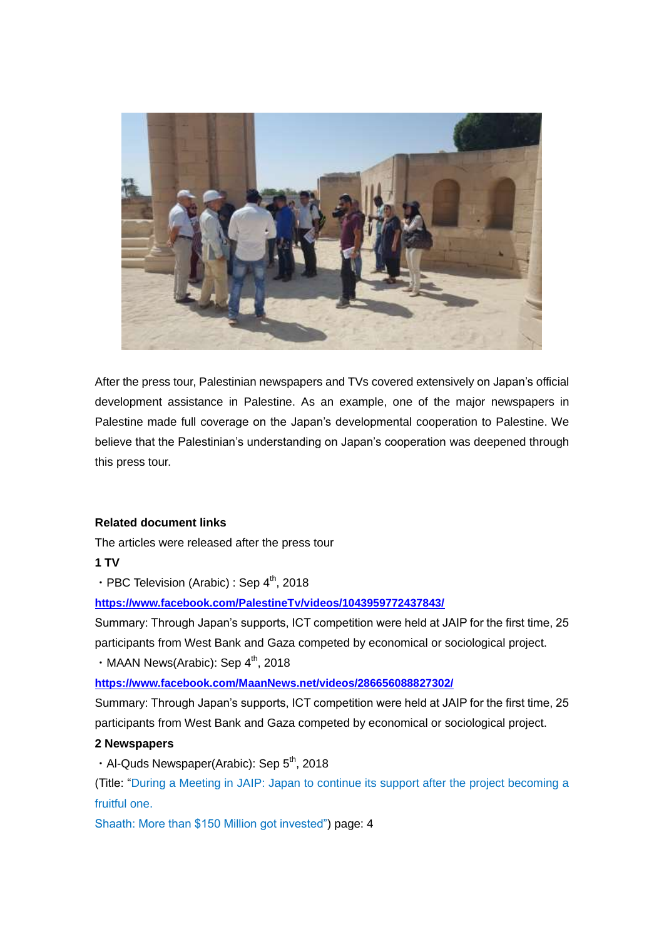

After the press tour, Palestinian newspapers and TVs covered extensively on Japan's official development assistance in Palestine. As an example, one of the major newspapers in Palestine made full coverage on the Japan's developmental cooperation to Palestine. We believe that the Palestinian's understanding on Japan's cooperation was deepened through this press tour.

## **Related document links**

The articles were released after the press tour

**1 TV**

• PBC Television (Arabic) : Sep  $4^{th}$ , 2018

**<https://www.facebook.com/PalestineTv/videos/1043959772437843/>**

Summary: Through Japan's supports, ICT competition were held at JAIP for the first time, 25 participants from West Bank and Gaza competed by economical or sociological project.

 $\cdot$  MAAN News(Arabic): Sep  $4^{\text{th}}$ , 2018

**<https://www.facebook.com/MaanNews.net/videos/286656088827302/>**

Summary: Through Japan's supports, ICT competition were held at JAIP for the first time, 25 participants from West Bank and Gaza competed by economical or sociological project.

## **2 Newspapers**

 $\cdot$  Al-Quds Newspaper(Arabic): Sep 5<sup>th</sup>, 2018

(Title: "During a Meeting in JAIP: Japan to continue its support after the project becoming a fruitful one.

Shaath: More than \$150 Million got invested") page: 4